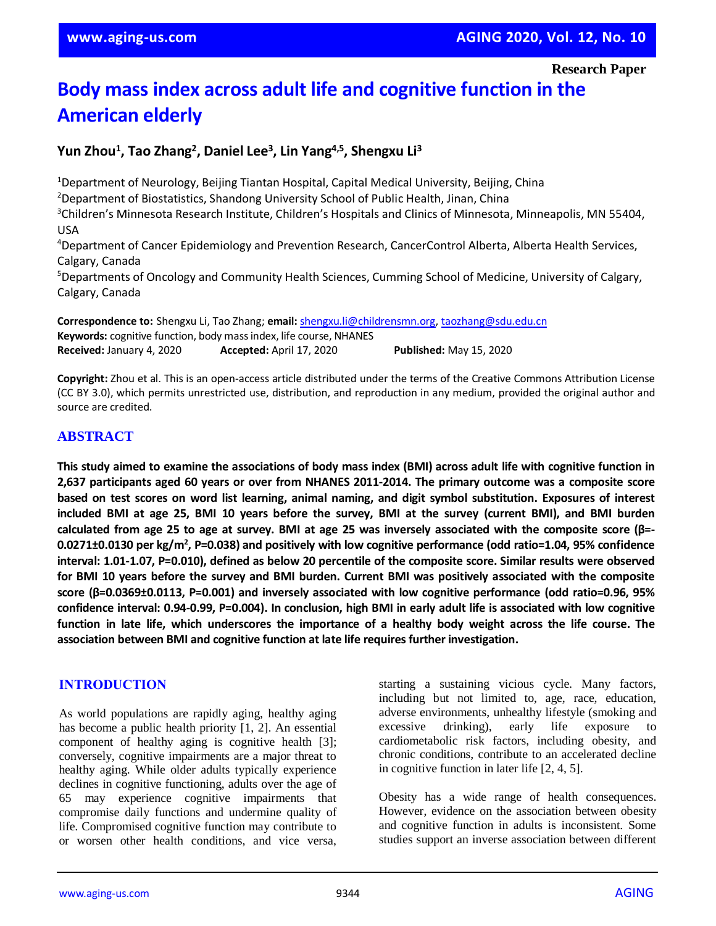**Research Paper**

# **Body mass index across adult life and cognitive function in the American elderly**

# **Yun Zhou<sup>1</sup> , Tao Zhang<sup>2</sup> , Daniel Lee<sup>3</sup> , Lin Yang4,5, Shengxu Li<sup>3</sup>**

<sup>1</sup>Department of Neurology, Beijing Tiantan Hospital, Capital Medical University, Beijing, China <sup>2</sup>Department of Biostatistics, Shandong University School of Public Health, Jinan, China <sup>3</sup>Children's Minnesota Research Institute, Children's Hospitals and Clinics of Minnesota, Minneapolis, MN 55404, USA <sup>4</sup>Department of Cancer Epidemiology and Prevention Research, CancerControl Alberta, Alberta Health Services, Calgary, Canada <sup>5</sup>Departments of Oncology and Community Health Sciences, Cumming School of Medicine, University of Calgary, Calgary, Canada **Correspondence to:** Shengxu Li, Tao Zhang; **email:** [shengxu.li@childrensmn.org,](mailto:shengxu.li@childrensmn.org) [taozhang@sdu.edu.cn](mailto:taozhang@sdu.edu.cn)

**Keywords:** cognitive function, body mass index, life course, NHANES **Received:** January 4, 2020 **Accepted:** April 17, 2020 **Published:** May 15, 2020

**Copyright:** Zhou et al. This is an open-access article distributed under the terms of the Creative Commons Attribution License (CC BY 3.0), which permits unrestricted use, distribution, and reproduction in any medium, provided the original author and source are credited.

#### **ABSTRACT**

This study aimed to examine the associations of body mass index (BMI) across adult life with cognitive function in **2,637 participants aged 60 years or over from NHANES 2011-2014. The primary outcome was a composite score** based on test scores on word list learning, animal naming, and digit symbol substitution. Exposures of interest included BMI at age 25, BMI 10 years before the survey, BMI at the survey (current BMI), and BMI burden calculated from age 25 to age at survey. BMI at age 25 was inversely associated with the composite score ( $\beta$ =-**0.0271±0.0130 per kg/m<sup>2</sup> , P=0.038) and positively with low cognitive performance (odd ratio=1.04, 95% confidence** interval: 1.01-1.07, P=0.010), defined as below 20 percentile of the composite score. Similar results were observed for BMI 10 years before the survey and BMI burden. Current BMI was positively associated with the composite **score (β=0.0369±0.0113, P=0.001) and inversely associated with low cognitive performance (odd ratio=0.96, 95%** confidence interval: 0.94-0.99, P=0.004). In conclusion, high BMI in early adult life is associated with low cognitive function in late life, which underscores the importance of a healthy body weight across the life course. The **association between BMI and cognitive function at late life requiresfurther investigation.**

## **INTRODUCTION**

As world populations are rapidly aging, healthy aging has become a public health priority [1, 2]. An essential component of healthy aging is cognitive health [3]; conversely, cognitive impairments are a major threat to healthy aging. While older adults typically experience declines in cognitive functioning, adults over the age of 65 may experience cognitive impairments that compromise daily functions and undermine quality of life. Compromised cognitive function may contribute to or worsen other health conditions, and vice versa, starting a sustaining vicious cycle. Many factors, including but not limited to, age, race, education, adverse environments, unhealthy lifestyle (smoking and excessive drinking), early life exposure to cardiometabolic risk factors, including obesity, and chronic conditions, contribute to an accelerated decline in cognitive function in later life [2, 4, 5].

Obesity has a wide range of health consequences. However, evidence on the association between obesity and cognitive function in adults is inconsistent. Some studies support an inverse association between different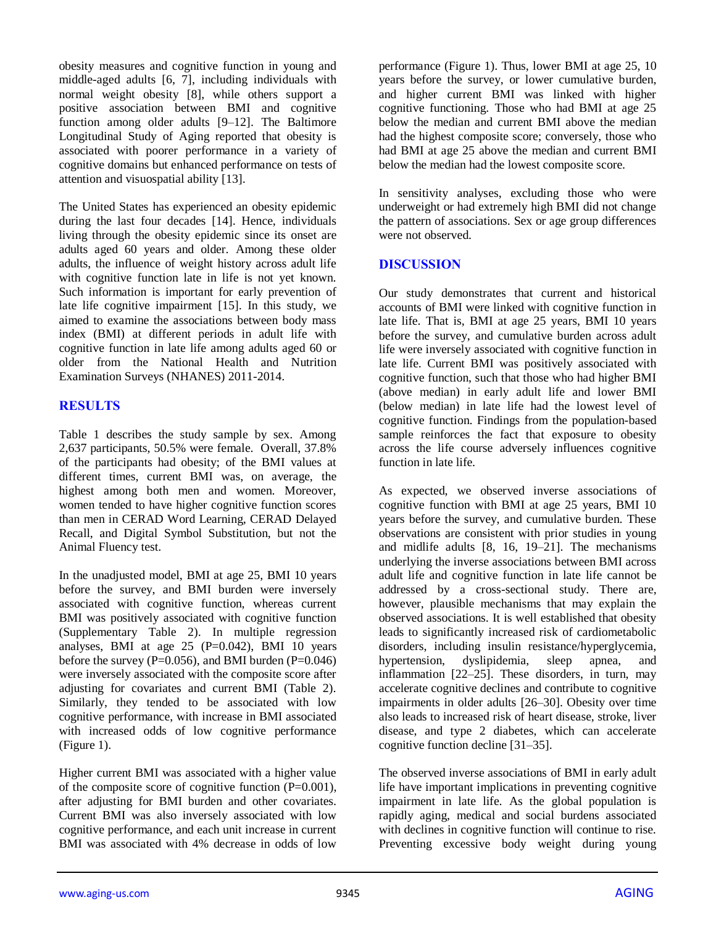obesity measures and cognitive function in young and middle-aged adults [6, 7], including individuals with normal weight obesity [8], while others support a positive association between BMI and cognitive function among older adults [9–12]. The Baltimore Longitudinal Study of Aging reported that obesity is associated with poorer performance in a variety of cognitive domains but enhanced performance on tests of attention and visuospatial ability [13].

The United States has experienced an obesity epidemic during the last four decades [14]. Hence, individuals living through the obesity epidemic since its onset are adults aged 60 years and older. Among these older adults, the influence of weight history across adult life with cognitive function late in life is not yet known. Such information is important for early prevention of late life cognitive impairment [15]. In this study, we aimed to examine the associations between body mass index (BMI) at different periods in adult life with cognitive function in late life among adults aged 60 or older from the National Health and Nutrition Examination Surveys (NHANES) 2011-2014.

# **RESULTS**

Table 1 describes the study sample by sex. Among 2,637 participants, 50.5% were female. Overall, 37.8% of the participants had obesity; of the BMI values at different times, current BMI was, on average, the highest among both men and women. Moreover, women tended to have higher cognitive function scores than men in CERAD Word Learning, CERAD Delayed Recall, and Digital Symbol Substitution, but not the Animal Fluency test.

In the unadjusted model, BMI at age 25, BMI 10 years before the survey, and BMI burden were inversely associated with cognitive function, whereas current BMI was positively associated with cognitive function (Supplementary Table 2). In multiple regression analyses, BMI at age  $25$  (P=0.042), BMI 10 years before the survey ( $P=0.056$ ), and BMI burden ( $P=0.046$ ) were inversely associated with the composite score after adjusting for covariates and current BMI (Table 2). Similarly, they tended to be associated with low cognitive performance, with increase in BMI associated with increased odds of low cognitive performance (Figure 1).

Higher current BMI was associated with a higher value of the composite score of cognitive function  $(P=0.001)$ , after adjusting for BMI burden and other covariates. Current BMI was also inversely associated with low cognitive performance, and each unit increase in current BMI was associated with 4% decrease in odds of low performance (Figure 1). Thus, lower BMI at age 25, 10 years before the survey, or lower cumulative burden, and higher current BMI was linked with higher cognitive functioning. Those who had BMI at age 25 below the median and current BMI above the median had the highest composite score; conversely, those who had BMI at age 25 above the median and current BMI below the median had the lowest composite score.

In sensitivity analyses, excluding those who were underweight or had extremely high BMI did not change the pattern of associations. Sex or age group differences were not observed.

## **DISCUSSION**

Our study demonstrates that current and historical accounts of BMI were linked with cognitive function in late life. That is, BMI at age 25 years, BMI 10 years before the survey, and cumulative burden across adult life were inversely associated with cognitive function in late life. Current BMI was positively associated with cognitive function, such that those who had higher BMI (above median) in early adult life and lower BMI (below median) in late life had the lowest level of cognitive function. Findings from the population-based sample reinforces the fact that exposure to obesity across the life course adversely influences cognitive function in late life.

As expected, we observed inverse associations of cognitive function with BMI at age 25 years, BMI 10 years before the survey, and cumulative burden. These observations are consistent with prior studies in young and midlife adults [8, 16, 19–21]. The mechanisms underlying the inverse associations between BMI across adult life and cognitive function in late life cannot be addressed by a cross-sectional study. There are, however, plausible mechanisms that may explain the observed associations. It is well established that obesity leads to significantly increased risk of cardiometabolic disorders, including insulin resistance/hyperglycemia, hypertension, dyslipidemia, sleep apnea, and inflammation [22–25]. These disorders, in turn, may accelerate cognitive declines and contribute to cognitive impairments in older adults [26–30]. Obesity over time also leads to increased risk of heart disease, stroke, liver disease, and type 2 diabetes, which can accelerate cognitive function decline [31–35].

The observed inverse associations of BMI in early adult life have important implications in preventing cognitive impairment in late life. As the global population is rapidly aging, medical and social burdens associated with declines in cognitive function will continue to rise. Preventing excessive body weight during young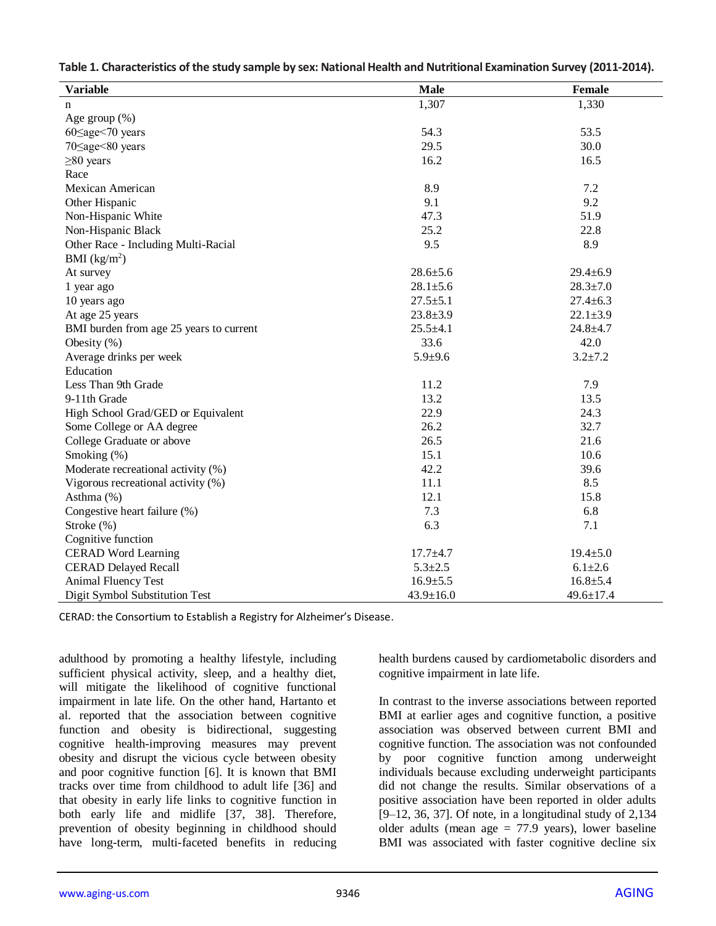| <b>Variable</b>                         | <b>Male</b>     | <b>Female</b>   |
|-----------------------------------------|-----------------|-----------------|
| n                                       | 1,307           | 1,330           |
| Age group $(\%)$                        |                 |                 |
| $60 \leq age \leq 70$ years             | 54.3            | 53.5            |
| $70 \leq age \leq 80$ years             | 29.5            | 30.0            |
| $\geq 80$ years                         | 16.2            | 16.5            |
| Race                                    |                 |                 |
| Mexican American                        | 8.9             | 7.2             |
| Other Hispanic                          | 9.1             | 9.2             |
| Non-Hispanic White                      | 47.3            | 51.9            |
| Non-Hispanic Black                      | 25.2            | 22.8            |
| Other Race - Including Multi-Racial     | 9.5             | 8.9             |
| BMI $(kg/m2)$                           |                 |                 |
| At survey                               | $28.6 \pm 5.6$  | $29.4 \pm 6.9$  |
| 1 year ago                              | $28.1 \pm 5.6$  | $28.3 \pm 7.0$  |
| 10 years ago                            | $27.5 \pm 5.1$  | $27.4 \pm 6.3$  |
| At age 25 years                         | $23.8 \pm 3.9$  | $22.1 \pm 3.9$  |
| BMI burden from age 25 years to current | $25.5 \pm 4.1$  | $24.8 + 4.7$    |
| Obesity $(\%)$                          | 33.6            | 42.0            |
| Average drinks per week                 | $5.9 + 9.6$     | $3.2 \pm 7.2$   |
| Education                               |                 |                 |
| Less Than 9th Grade                     | 11.2            | 7.9             |
| 9-11th Grade                            | 13.2            | 13.5            |
| High School Grad/GED or Equivalent      | 22.9            | 24.3            |
| Some College or AA degree               | 26.2            | 32.7            |
| College Graduate or above               | 26.5            | 21.6            |
| Smoking (%)                             | 15.1            | 10.6            |
| Moderate recreational activity (%)      | 42.2            | 39.6            |
| Vigorous recreational activity (%)      | 11.1            | 8.5             |
| Asthma (%)                              | 12.1            | 15.8            |
| Congestive heart failure (%)            | 7.3             | 6.8             |
| Stroke (%)                              | 6.3             | 7.1             |
| Cognitive function                      |                 |                 |
| <b>CERAD</b> Word Learning              | $17.7 + 4.7$    | $19.4 \pm 5.0$  |
| <b>CERAD Delayed Recall</b>             | $5.3 \pm 2.5$   | $6.1 + 2.6$     |
| <b>Animal Fluency Test</b>              | $16.9{\pm}5.5$  | $16.8 + 5.4$    |
| Digit Symbol Substitution Test          | $43.9 \pm 16.0$ | $49.6 \pm 17.4$ |

|  | Table 1. Characteristics of the study sample by sex: National Health and Nutritional Examination Survey (2011-2014). |  |
|--|----------------------------------------------------------------------------------------------------------------------|--|
|  |                                                                                                                      |  |

CERAD: the Consortium to Establish a Registry for Alzheimer's Disease.

adulthood by promoting a healthy lifestyle, including sufficient physical activity, sleep, and a healthy diet, will mitigate the likelihood of cognitive functional impairment in late life. On the other hand, Hartanto et al. reported that the association between cognitive function and obesity is bidirectional, suggesting cognitive health-improving measures may prevent obesity and disrupt the vicious cycle between obesity and poor cognitive function [6]. It is known that BMI tracks over time from childhood to adult life [36] and that obesity in early life links to cognitive function in both early life and midlife [37, 38]. Therefore, prevention of obesity beginning in childhood should have long-term, multi-faceted benefits in reducing

health burdens caused by cardiometabolic disorders and cognitive impairment in late life.

In contrast to the inverse associations between reported BMI at earlier ages and cognitive function, a positive association was observed between current BMI and cognitive function. The association was not confounded by poor cognitive function among underweight individuals because excluding underweight participants did not change the results. Similar observations of a positive association have been reported in older adults [9–12, 36, 37]. Of note, in a longitudinal study of 2,134 older adults (mean age  $= 77.9$  years), lower baseline BMI was associated with faster cognitive decline six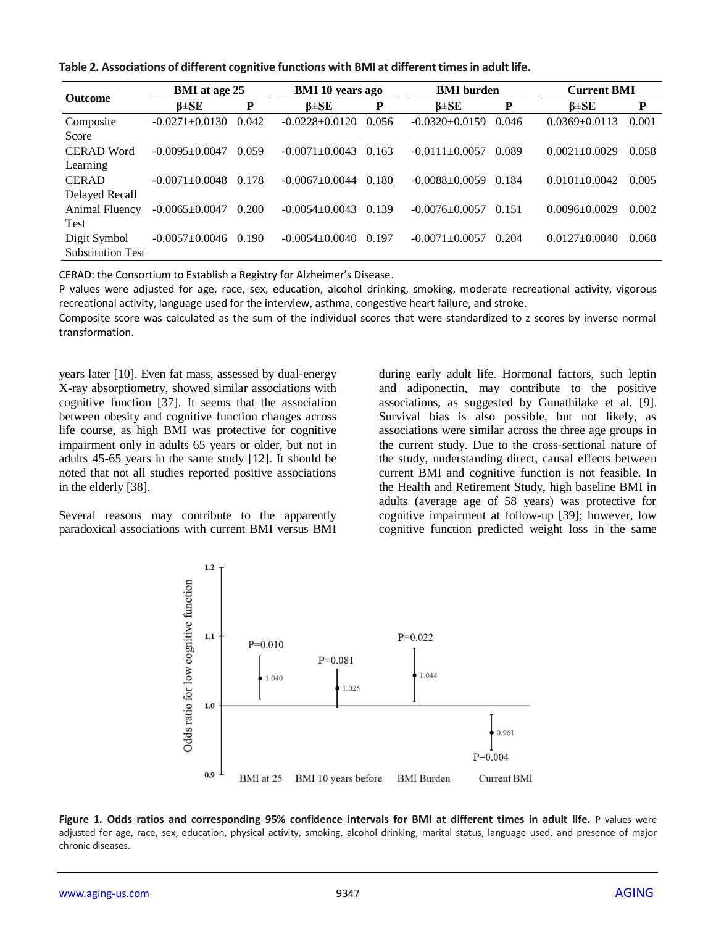|  | Table 2. Associations of different cognitive functions with BMI at different times in adult life. |  |  |  |  |  |  |  |  |  |
|--|---------------------------------------------------------------------------------------------------|--|--|--|--|--|--|--|--|--|
|--|---------------------------------------------------------------------------------------------------|--|--|--|--|--|--|--|--|--|

| <b>Outcome</b>           | <b>BMI</b> at age 25 |       | <b>BMI 10 years ago</b> |       | <b>BMI</b> burden  |       | <b>Current BMI</b>  |       |
|--------------------------|----------------------|-------|-------------------------|-------|--------------------|-------|---------------------|-------|
|                          | $\beta \pm SE$       | P     | $\beta \pm SE$          | P     | $\beta \pm SE$     | P     | $\beta \pm SE$      | P     |
| Composite                | $-0.0271 + 0.0130$   | 0.042 | $-0.0228 + 0.0120$      | 0.056 | $-0.0320+0.0159$   | 0.046 | $0.0369 + 0.0113$   | 0.001 |
| Score                    |                      |       |                         |       |                    |       |                     |       |
| <b>CERAD Word</b>        | $-0.0095 + 0.0047$   | 0.059 | $-0.0071 + 0.0043$      | 0.163 | $-0.0111 + 0.0057$ | 0.089 | $0.0021 + 0.0029$   | 0.058 |
| Learning                 |                      |       |                         |       |                    |       |                     |       |
| <b>CERAD</b>             | $-0.0071 + 0.0048$   | 0.178 | $-0.0067 + 0.0044$      | 0.180 | $-0.0088 + 0.0059$ | 0.184 | $0.0101 + 0.0042$   | 0.005 |
| Delayed Recall           |                      |       |                         |       |                    |       |                     |       |
| Animal Fluency           | $-0.0065 \pm 0.0047$ | 0.200 | $-0.0054 + 0.0043$      | 0.139 | $-0.0076 + 0.0057$ | 0.151 | $0.0096 \pm 0.0029$ | 0.002 |
| Test                     |                      |       |                         |       |                    |       |                     |       |
| Digit Symbol             | $-0.0057 + 0.0046$   | 0.190 | $-0.0054 + 0.0040$      | 0.197 | $-0.0071 + 0.0057$ | 0.204 | $0.0127 \pm 0.0040$ | 0.068 |
| <b>Substitution Test</b> |                      |       |                         |       |                    |       |                     |       |

CERAD: the Consortium to Establish a Registry for Alzheimer's Disease.

P values were adjusted for age, race, sex, education, alcohol drinking, smoking, moderate recreational activity, vigorous recreational activity, language used for the interview, asthma, congestive heart failure, and stroke.

Composite score was calculated as the sum of the individual scores that were standardized to z scores by inverse normal transformation.

years later [10]. Even fat mass, assessed by dual-energy X-ray absorptiometry, showed similar associations with cognitive function [37]. It seems that the association between obesity and cognitive function changes across life course, as high BMI was protective for cognitive impairment only in adults 65 years or older, but not in adults 45-65 years in the same study [12]. It should be noted that not all studies reported positive associations in the elderly [38].

Several reasons may contribute to the apparently paradoxical associations with current BMI versus BMI during early adult life. Hormonal factors, such leptin and adiponectin, may contribute to the positive associations, as suggested by Gunathilake et al. [9]. Survival bias is also possible, but not likely, as associations were similar across the three age groups in the current study. Due to the cross-sectional nature of the study, understanding direct, causal effects between current BMI and cognitive function is not feasible. In the Health and Retirement Study, high baseline BMI in adults (average age of 58 years) was protective for cognitive impairment at follow-up [39]; however, low cognitive function predicted weight loss in the same



Figure 1. Odds ratios and corresponding 95% confidence intervals for BMI at different times in adult life. P values were adjusted for age, race, sex, education, physical activity, smoking, alcohol drinking, marital status, language used, and presence of major chronic diseases.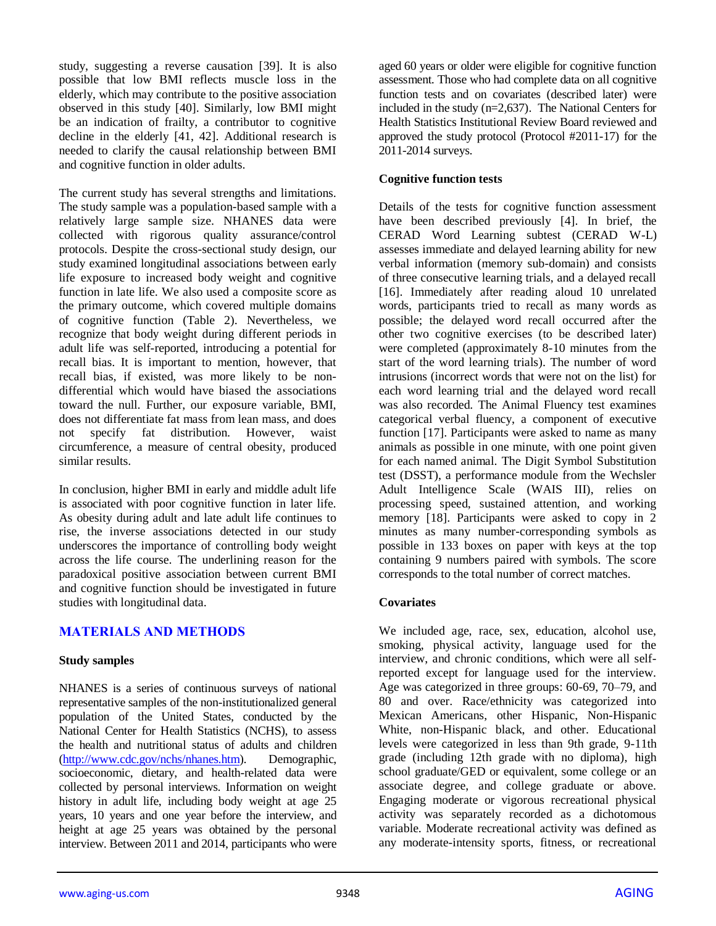study, suggesting a reverse causation [39]. It is also possible that low BMI reflects muscle loss in the elderly, which may contribute to the positive association observed in this study [40]. Similarly, low BMI might be an indication of frailty, a contributor to cognitive decline in the elderly [41, 42]. Additional research is needed to clarify the causal relationship between BMI and cognitive function in older adults.

The current study has several strengths and limitations. The study sample was a population-based sample with a relatively large sample size. NHANES data were collected with rigorous quality assurance/control protocols. Despite the cross-sectional study design, our study examined longitudinal associations between early life exposure to increased body weight and cognitive function in late life. We also used a composite score as the primary outcome, which covered multiple domains of cognitive function (Table 2). Nevertheless, we recognize that body weight during different periods in adult life was self-reported, introducing a potential for recall bias. It is important to mention, however, that recall bias, if existed, was more likely to be nondifferential which would have biased the associations toward the null. Further, our exposure variable, BMI, does not differentiate fat mass from lean mass, and does not specify fat distribution. However, waist circumference, a measure of central obesity, produced similar results.

In conclusion, higher BMI in early and middle adult life is associated with poor cognitive function in later life. As obesity during adult and late adult life continues to rise, the inverse associations detected in our study underscores the importance of controlling body weight across the life course. The underlining reason for the paradoxical positive association between current BMI and cognitive function should be investigated in future studies with longitudinal data.

# **MATERIALS AND METHODS**

#### **Study samples**

NHANES is a series of continuous surveys of national representative samples of the non-institutionalized general population of the United States, conducted by the National Center for Health Statistics (NCHS), to assess the health and nutritional status of adults and children [\(http://www.cdc.gov/nchs/nhanes.htm\)](http://www.cdc.gov/nchs/nhanes.htm). Demographic, socioeconomic, dietary, and health-related data were collected by personal interviews. Information on weight history in adult life, including body weight at age 25 years, 10 years and one year before the interview, and height at age 25 years was obtained by the personal interview. Between 2011 and 2014, participants who were aged 60 years or older were eligible for cognitive function assessment. Those who had complete data on all cognitive function tests and on covariates (described later) were included in the study (n=2,637). The National Centers for Health Statistics Institutional Review Board reviewed and approved the study protocol (Protocol #2011-17) for the 2011-2014 surveys.

#### **Cognitive function tests**

Details of the tests for cognitive function assessment have been described previously [4]. In brief, the CERAD Word Learning subtest (CERAD W-L) assesses immediate and delayed learning ability for new verbal information (memory sub-domain) and consists of three consecutive learning trials, and a delayed recall [16]. Immediately after reading aloud 10 unrelated words, participants tried to recall as many words as possible; the delayed word recall occurred after the other two cognitive exercises (to be described later) were completed (approximately 8-10 minutes from the start of the word learning trials). The number of word intrusions (incorrect words that were not on the list) for each word learning trial and the delayed word recall was also recorded. The Animal Fluency test examines categorical verbal fluency, a component of executive function [17]. Participants were asked to name as many animals as possible in one minute, with one point given for each named animal. The Digit Symbol Substitution test (DSST), a performance module from the Wechsler Adult Intelligence Scale (WAIS III), relies on processing speed, sustained attention, and working memory [18]. Participants were asked to copy in 2 minutes as many number-corresponding symbols as possible in 133 boxes on paper with keys at the top containing 9 numbers paired with symbols. The score corresponds to the total number of correct matches.

#### **Covariates**

We included age, race, sex, education, alcohol use, smoking, physical activity, language used for the interview, and chronic conditions, which were all selfreported except for language used for the interview. Age was categorized in three groups: 60-69, 70–79, and 80 and over. Race/ethnicity was categorized into Mexican Americans, other Hispanic, Non-Hispanic White, non-Hispanic black, and other. Educational levels were categorized in less than 9th grade, 9-11th grade (including 12th grade with no diploma), high school graduate/GED or equivalent, some college or an associate degree, and college graduate or above. Engaging moderate or vigorous recreational physical activity was separately recorded as a dichotomous variable. Moderate recreational activity was defined as any moderate-intensity sports, fitness, or recreational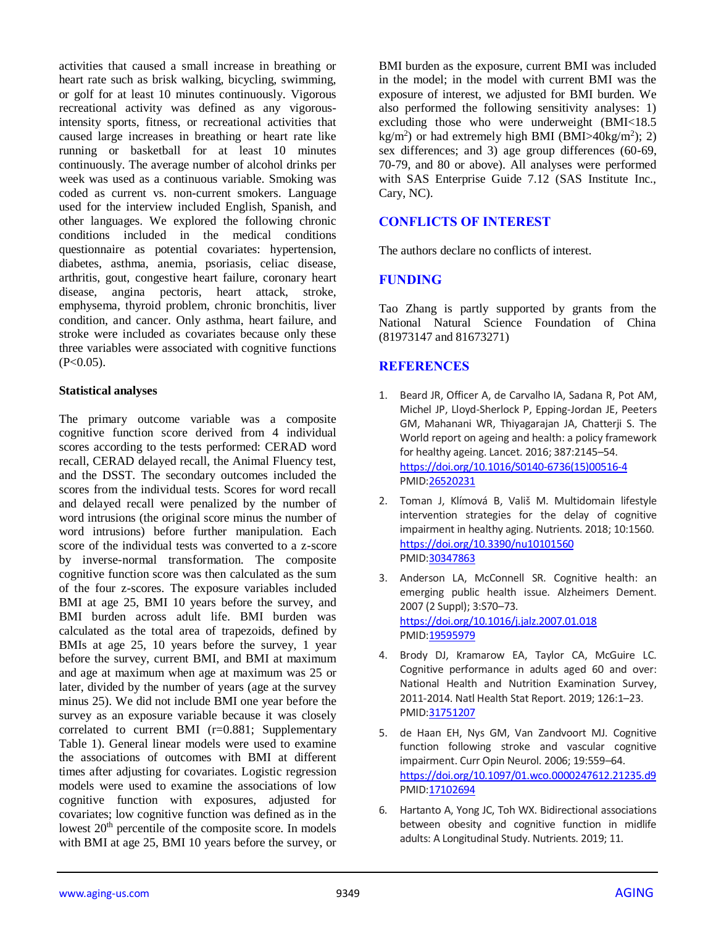activities that caused a small increase in breathing or heart rate such as brisk walking, bicycling, swimming, or golf for at least 10 minutes continuously. Vigorous recreational activity was defined as any vigorousintensity sports, fitness, or recreational activities that caused large increases in breathing or heart rate like running or basketball for at least 10 minutes continuously. The average number of alcohol drinks per week was used as a continuous variable. Smoking was coded as current vs. non-current smokers. Language used for the interview included English, Spanish, and other languages. We explored the following chronic conditions included in the medical conditions questionnaire as potential covariates: hypertension, diabetes, asthma, anemia, psoriasis, celiac disease, arthritis, gout, congestive heart failure, coronary heart disease, angina pectoris, heart attack, stroke, emphysema, thyroid problem, chronic bronchitis, liver condition, and cancer. Only asthma, heart failure, and stroke were included as covariates because only these three variables were associated with cognitive functions  $(P<0.05)$ .

#### **Statistical analyses**

The primary outcome variable was a composite cognitive function score derived from 4 individual scores according to the tests performed: CERAD word recall, CERAD delayed recall, the Animal Fluency test, and the DSST. The secondary outcomes included the scores from the individual tests. Scores for word recall and delayed recall were penalized by the number of word intrusions (the original score minus the number of word intrusions) before further manipulation. Each score of the individual tests was converted to a z-score by inverse-normal transformation. The composite cognitive function score was then calculated as the sum of the four z-scores. The exposure variables included BMI at age 25, BMI 10 years before the survey, and BMI burden across adult life. BMI burden was calculated as the total area of trapezoids, defined by BMIs at age 25, 10 years before the survey, 1 year before the survey, current BMI, and BMI at maximum and age at maximum when age at maximum was 25 or later, divided by the number of years (age at the survey minus 25). We did not include BMI one year before the survey as an exposure variable because it was closely correlated to current BMI (r=0.881; Supplementary Table 1). General linear models were used to examine the associations of outcomes with BMI at different times after adjusting for covariates. Logistic regression models were used to examine the associations of low cognitive function with exposures, adjusted for covariates; low cognitive function was defined as in the lowest 20<sup>th</sup> percentile of the composite score. In models with BMI at age 25, BMI 10 years before the survey, or BMI burden as the exposure, current BMI was included in the model; in the model with current BMI was the exposure of interest, we adjusted for BMI burden. We also performed the following sensitivity analyses: 1) excluding those who were underweight (BMI<18.5  $\text{kg/m}^2$ ) or had extremely high BMI (BMI>40kg/m<sup>2</sup>); 2) sex differences; and 3) age group differences (60-69, 70-79, and 80 or above). All analyses were performed with SAS Enterprise Guide 7.12 (SAS Institute Inc., Cary, NC).

## **CONFLICTS OF INTEREST**

The authors declare no conflicts of interest.

#### **FUNDING**

Tao Zhang is partly supported by grants from the National Natural Science Foundation of China (81973147 and 81673271)

## **REFERENCES**

- 1. Beard JR, Officer A, de Carvalho IA, Sadana R, Pot AM, Michel JP, Lloyd-Sherlock P, Epping-Jordan JE, Peeters GM, Mahanani WR, Thiyagarajan JA, Chatterji S. The World report on ageing and health: a policy framework for healthy ageing. Lancet. 2016; 387:2145–54. [https://doi.org/10.1016/S0140-6736\(15\)00516-4](https://doi.org/10.1016/S0140-6736%2815%2900516-4) PMI[D:26520231](https://www.ncbi.nlm.nih.gov/pubmed/26520231)
- 2. Toman J, Klímová B, Vališ M. Multidomain lifestyle intervention strategies for the delay of cognitive impairment in healthy aging. Nutrients. 2018; 10:1560. <https://doi.org/10.3390/nu10101560> PMI[D:30347863](https://www.ncbi.nlm.nih.gov/pubmed/30347863)
- 3. Anderson LA, McConnell SR. Cognitive health: an emerging public health issue. Alzheimers Dement. 2007 (2 Suppl); 3:S70–73. <https://doi.org/10.1016/j.jalz.2007.01.018> PMI[D:19595979](https://www.ncbi.nlm.nih.gov/pubmed/19595979)
- 4. Brody DJ, Kramarow EA, Taylor CA, McGuire LC. Cognitive performance in adults aged 60 and over: National Health and Nutrition Examination Survey, 2011-2014. Natl Health Stat Report. 2019; 126:1–23. PMI[D:31751207](https://www.ncbi.nlm.nih.gov/pubmed/31751207)
- 5. de Haan EH, Nys GM, Van Zandvoort MJ. Cognitive function following stroke and vascular cognitive impairment. Curr Opin Neurol. 2006; 19:559–64. <https://doi.org/10.1097/01.wco.0000247612.21235.d9> PMI[D:17102694](https://www.ncbi.nlm.nih.gov/pubmed/17102694)
- 6. Hartanto A, Yong JC, Toh WX. Bidirectional associations between obesity and cognitive function in midlife adults: A Longitudinal Study. Nutrients. 2019; 11.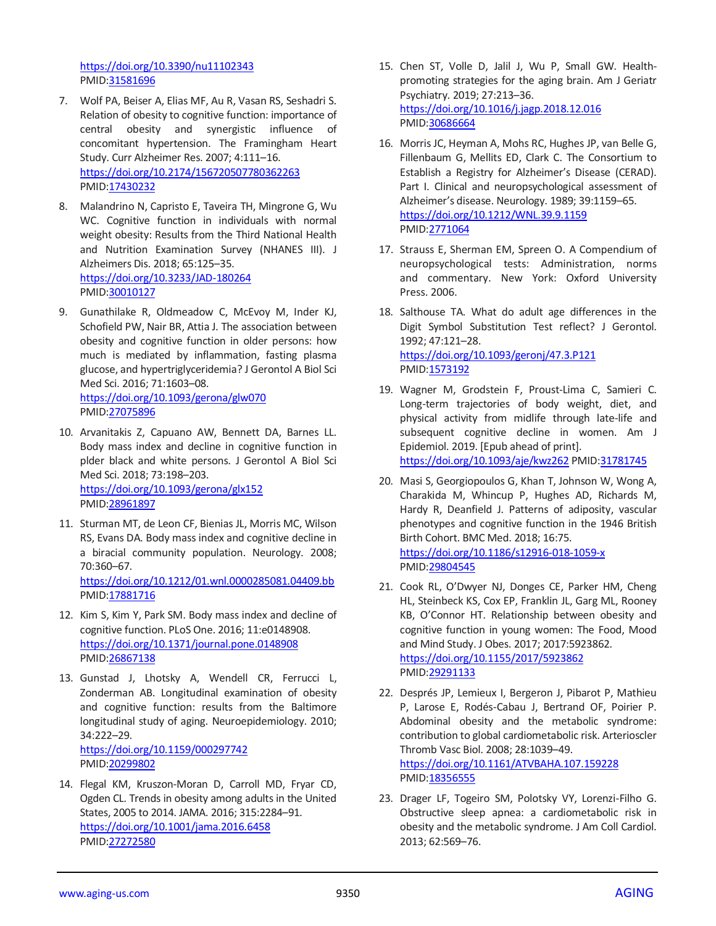<https://doi.org/10.3390/nu11102343> PMID[:31581696](https://www.ncbi.nlm.nih.gov/pubmed/31581696)

- 7. Wolf PA, Beiser A, Elias MF, Au R, Vasan RS, Seshadri S. Relation of obesity to cognitive function: importance of central obesity and synergistic influence of concomitant hypertension. The Framingham Heart Study. Curr Alzheimer Res. 2007; 4:111–16. <https://doi.org/10.2174/156720507780362263> PMID[:17430232](https://www.ncbi.nlm.nih.gov/pubmed/17430232)
- 8. Malandrino N, Capristo E, Taveira TH, Mingrone G, Wu WC. Cognitive function in individuals with normal weight obesity: Results from the Third National Health and Nutrition Examination Survey (NHANES III). J Alzheimers Dis. 2018; 65:125–35. <https://doi.org/10.3233/JAD-180264> PMID[:30010127](https://www.ncbi.nlm.nih.gov/pubmed/30010127)
- 9. Gunathilake R, Oldmeadow C, McEvoy M, Inder KJ, Schofield PW, Nair BR, Attia J. The association between obesity and cognitive function in older persons: how much is mediated by inflammation, fasting plasma glucose, and hypertriglyceridemia? J Gerontol A Biol Sci Med Sci. 2016; 71:1603–08. <https://doi.org/10.1093/gerona/glw070> PMID[:27075896](https://www.ncbi.nlm.nih.gov/pubmed/27075896)
- 10. Arvanitakis Z, Capuano AW, Bennett DA, Barnes LL. Body mass index and decline in cognitive function in plder black and white persons. J Gerontol A Biol Sci Med Sci. 2018; 73:198–203. <https://doi.org/10.1093/gerona/glx152> PMID[:28961897](https://www.ncbi.nlm.nih.gov/pubmed/28961897)
- 11. Sturman MT, de Leon CF, Bienias JL, Morris MC, Wilson RS, Evans DA. Body mass index and cognitive decline in a biracial community population. Neurology. 2008; 70:360–67. <https://doi.org/10.1212/01.wnl.0000285081.04409.bb> PMID[:17881716](https://www.ncbi.nlm.nih.gov/pubmed/17881716)
- 12. Kim S, Kim Y, Park SM. Body mass index and decline of cognitive function. PLoS One. 2016; 11:e0148908. <https://doi.org/10.1371/journal.pone.0148908> PMID[:26867138](https://www.ncbi.nlm.nih.gov/pubmed/26867138)
- 13. Gunstad J, Lhotsky A, Wendell CR, Ferrucci L, Zonderman AB. Longitudinal examination of obesity and cognitive function: results from the Baltimore longitudinal study of aging. Neuroepidemiology. 2010; 34:222–29. <https://doi.org/10.1159/000297742> PMID[:20299802](https://www.ncbi.nlm.nih.gov/pubmed/20299802)
- 14. Flegal KM, Kruszon-Moran D, Carroll MD, Fryar CD, Ogden CL. Trends in obesity among adults in the United States, 2005 to 2014. JAMA. 2016; 315:2284–91. <https://doi.org/10.1001/jama.2016.6458> PMID[:27272580](https://www.ncbi.nlm.nih.gov/pubmed/27272580)
- 15. Chen ST, Volle D, Jalil J, Wu P, Small GW. Healthpromoting strategies for the aging brain. Am J Geriatr Psychiatry. 2019; 27:213–36. <https://doi.org/10.1016/j.jagp.2018.12.016> PMI[D:30686664](https://www.ncbi.nlm.nih.gov/pubmed/30686664)
- 16. Morris JC, Heyman A, Mohs RC, Hughes JP, van Belle G, Fillenbaum G, Mellits ED, Clark C. The Consortium to Establish a Registry for Alzheimer's Disease (CERAD). Part I. Clinical and neuropsychological assessment of Alzheimer's disease. Neurology. 1989; 39:1159–65. <https://doi.org/10.1212/WNL.39.9.1159> PMI[D:2771064](https://www.ncbi.nlm.nih.gov/pubmed/2771064)
- 17. Strauss E, Sherman EM, Spreen O. A Compendium of neuropsychological tests: Administration, norms and commentary. New York: Oxford University Press. 2006.
- 18. Salthouse TA. What do adult age differences in the Digit Symbol Substitution Test reflect? J Gerontol. 1992; 47:121–28. <https://doi.org/10.1093/geronj/47.3.P121> PMI[D:1573192](https://www.ncbi.nlm.nih.gov/pubmed/1573192)
- 19. Wagner M, Grodstein F, Proust-Lima C, Samieri C. Long-term trajectories of body weight, diet, and physical activity from midlife through late-life and subsequent cognitive decline in women. Am J Epidemiol. 2019. [Epub ahead of print]. <https://doi.org/10.1093/aje/kwz262> PMID[:31781745](https://www.ncbi.nlm.nih.gov/pubmed/31781745)
- 20. Masi S, Georgiopoulos G, Khan T, Johnson W, Wong A, Charakida M, Whincup P, Hughes AD, Richards M, Hardy R, Deanfield J. Patterns of adiposity, vascular phenotypes and cognitive function in the 1946 British Birth Cohort. BMC Med. 2018; 16:75. <https://doi.org/10.1186/s12916-018-1059-x> PMI[D:29804545](https://www.ncbi.nlm.nih.gov/pubmed/29804545)
- 21. Cook RL, O'Dwyer NJ, Donges CE, Parker HM, Cheng HL, Steinbeck KS, Cox EP, Franklin JL, Garg ML, Rooney KB, O'Connor HT. Relationship between obesity and cognitive function in young women: The Food, Mood and Mind Study. J Obes. 2017; 2017:5923862. <https://doi.org/10.1155/2017/5923862> PMI[D:29291133](https://www.ncbi.nlm.nih.gov/pubmed/29291133)
- 22. Després JP, Lemieux I, Bergeron J, Pibarot P, Mathieu P, Larose E, Rodés-Cabau J, Bertrand OF, Poirier P. Abdominal obesity and the metabolic syndrome: contribution to global cardiometabolic risk. Arterioscler Thromb Vasc Biol. 2008; 28:1039–49. <https://doi.org/10.1161/ATVBAHA.107.159228> PMI[D:18356555](https://www.ncbi.nlm.nih.gov/pubmed/18356555)
- 23. Drager LF, Togeiro SM, Polotsky VY, Lorenzi-Filho G. Obstructive sleep apnea: a cardiometabolic risk in obesity and the metabolic syndrome. J Am Coll Cardiol. 2013; 62:569–76.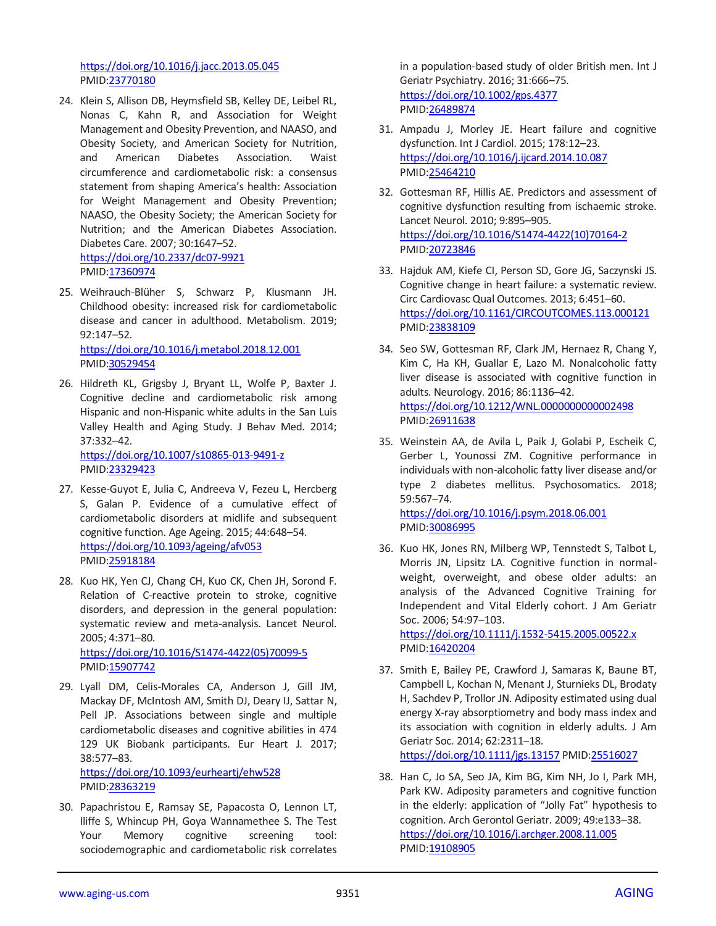<https://doi.org/10.1016/j.jacc.2013.05.045> PMID[:23770180](https://www.ncbi.nlm.nih.gov/pubmed/23770180)

- 24. Klein S, Allison DB, Heymsfield SB, Kelley DE, Leibel RL, Nonas C, Kahn R, and Association for Weight Management and Obesity Prevention, and NAASO, and Obesity Society, and American Society for Nutrition, and American Diabetes Association. Waist circumference and cardiometabolic risk: a consensus statement from shaping America's health: Association for Weight Management and Obesity Prevention; NAASO, the Obesity Society; the American Society for Nutrition; and the American Diabetes Association. Diabetes Care. 2007; 30:1647–52. <https://doi.org/10.2337/dc07-9921> PMID[:17360974](https://www.ncbi.nlm.nih.gov/pubmed/17360974)
- 25. Weihrauch-Blüher S, Schwarz P, Klusmann JH. Childhood obesity: increased risk for cardiometabolic disease and cancer in adulthood. Metabolism. 2019; 92:147–52. <https://doi.org/10.1016/j.metabol.2018.12.001>

PMID[:30529454](https://www.ncbi.nlm.nih.gov/pubmed/30529454)

26. Hildreth KL, Grigsby J, Bryant LL, Wolfe P, Baxter J. Cognitive decline and cardiometabolic risk among Hispanic and non-Hispanic white adults in the San Luis Valley Health and Aging Study. J Behav Med. 2014; 37:332–42.

<https://doi.org/10.1007/s10865-013-9491-z> PMID[:23329423](https://www.ncbi.nlm.nih.gov/pubmed/23329423)

- 27. Kesse-Guyot E, Julia C, Andreeva V, Fezeu L, Hercberg S, Galan P. Evidence of a cumulative effect of cardiometabolic disorders at midlife and subsequent cognitive function. Age Ageing. 2015; 44:648–54. <https://doi.org/10.1093/ageing/afv053> PMID[:25918184](https://www.ncbi.nlm.nih.gov/pubmed/25918184)
- 28. Kuo HK, Yen CJ, Chang CH, Kuo CK, Chen JH, Sorond F. Relation of C-reactive protein to stroke, cognitive disorders, and depression in the general population: systematic review and meta-analysis. Lancet Neurol. 2005; 4:371–80. [https://doi.org/10.1016/S1474-4422\(05\)70099-5](https://doi.org/10.1016/S1474-4422%2805%2970099-5) PMID[:15907742](https://www.ncbi.nlm.nih.gov/pubmed/15907742)
- 29. Lyall DM, Celis-Morales CA, Anderson J, Gill JM, Mackay DF, McIntosh AM, Smith DJ, Deary IJ, Sattar N, Pell JP. Associations between single and multiple cardiometabolic diseases and cognitive abilities in 474 129 UK Biobank participants. Eur Heart J. 2017; 38:577–83. <https://doi.org/10.1093/eurheartj/ehw528>

PMID[:28363219](https://www.ncbi.nlm.nih.gov/pubmed/28363219)

30. Papachristou E, Ramsay SE, Papacosta O, Lennon LT, Iliffe S, Whincup PH, Goya Wannamethee S. The Test Your Memory cognitive screening tool: sociodemographic and cardiometabolic risk correlates

in a population-based study of older British men. Int J Geriatr Psychiatry. 2016; 31:666–75. <https://doi.org/10.1002/gps.4377> PMI[D:26489874](https://www.ncbi.nlm.nih.gov/pubmed/26489874)

- 31. Ampadu J, Morley JE. Heart failure and cognitive dysfunction. Int J Cardiol. 2015; 178:12–23. <https://doi.org/10.1016/j.ijcard.2014.10.087> PMI[D:25464210](https://www.ncbi.nlm.nih.gov/pubmed/25464210)
- 32. Gottesman RF, Hillis AE. Predictors and assessment of cognitive dysfunction resulting from ischaemic stroke. Lancet Neurol. 2010; 9:895–905. [https://doi.org/10.1016/S1474-4422\(10\)70164-2](https://doi.org/10.1016/S1474-4422%2810%2970164-2) PMI[D:20723846](https://www.ncbi.nlm.nih.gov/pubmed/20723846)
- 33. Hajduk AM, Kiefe CI, Person SD, Gore JG, Saczynski JS. Cognitive change in heart failure: a systematic review. Circ Cardiovasc Qual Outcomes. 2013; 6:451–60. <https://doi.org/10.1161/CIRCOUTCOMES.113.000121> PMI[D:23838109](https://www.ncbi.nlm.nih.gov/pubmed/23838109)
- 34. Seo SW, Gottesman RF, Clark JM, Hernaez R, Chang Y, Kim C, Ha KH, Guallar E, Lazo M. Nonalcoholic fatty liver disease is associated with cognitive function in adults. Neurology. 2016; 86:1136–42. <https://doi.org/10.1212/WNL.0000000000002498> PMI[D:26911638](https://www.ncbi.nlm.nih.gov/pubmed/26911638)
- 35. Weinstein AA, de Avila L, Paik J, Golabi P, Escheik C, Gerber L, Younossi ZM. Cognitive performance in individuals with non-alcoholic fatty liver disease and/or type 2 diabetes mellitus. Psychosomatics. 2018; 59:567–74.

<https://doi.org/10.1016/j.psym.2018.06.001> PMI[D:30086995](https://www.ncbi.nlm.nih.gov/pubmed/30086995)

36. Kuo HK, Jones RN, Milberg WP, Tennstedt S, Talbot L, Morris JN, Lipsitz LA. Cognitive function in normalweight, overweight, and obese older adults: an analysis of the Advanced Cognitive Training for Independent and Vital Elderly cohort. J Am Geriatr Soc. 2006; 54:97–103. <https://doi.org/10.1111/j.1532-5415.2005.00522.x>

PMI[D:16420204](https://www.ncbi.nlm.nih.gov/pubmed/16420204)

- 37. Smith E, Bailey PE, Crawford J, Samaras K, Baune BT, Campbell L, Kochan N, Menant J, Sturnieks DL, Brodaty H, Sachdev P, Trollor JN. Adiposity estimated using dual energy X-ray absorptiometry and body mass index and its association with cognition in elderly adults. J Am Geriatr Soc. 2014; 62:2311–18. <https://doi.org/10.1111/jgs.13157> PMI[D:25516027](https://www.ncbi.nlm.nih.gov/pubmed/25516027)
- 38. Han C, Jo SA, Seo JA, Kim BG, Kim NH, Jo I, Park MH, Park KW. Adiposity parameters and cognitive function in the elderly: application of "Jolly Fat" hypothesis to cognition. Arch Gerontol Geriatr. 2009; 49:e133–38. <https://doi.org/10.1016/j.archger.2008.11.005> PMI[D:19108905](https://www.ncbi.nlm.nih.gov/pubmed/19108905)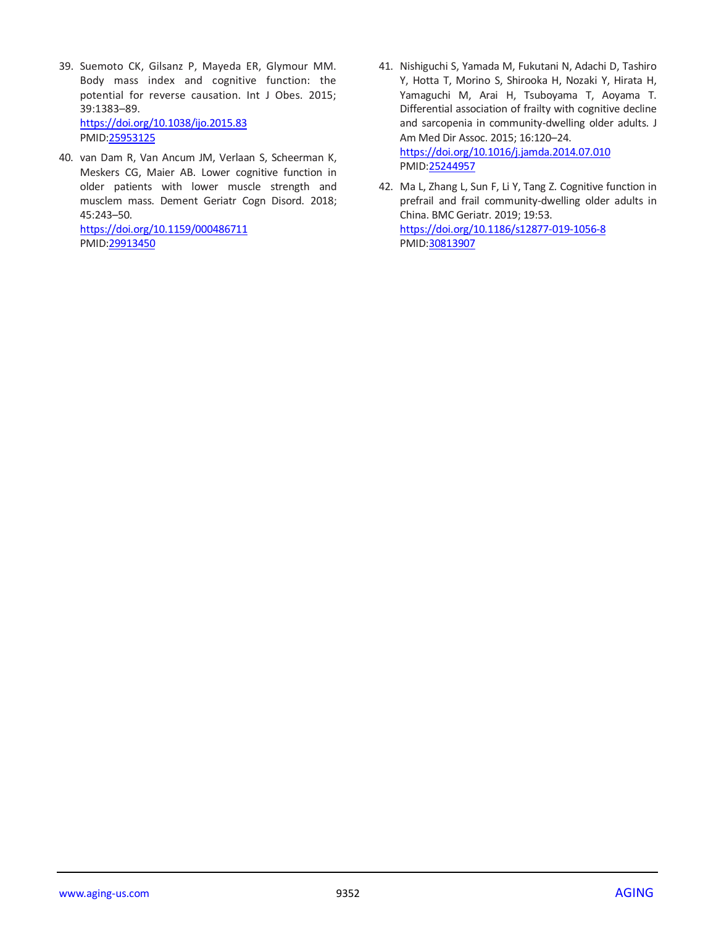- 39. Suemoto CK, Gilsanz P, Mayeda ER, Glymour MM. Body mass index and cognitive function: the potential for reverse causation. Int J Obes. 2015; 39:1383–89. <https://doi.org/10.1038/ijo.2015.83> PMID[:25953125](https://www.ncbi.nlm.nih.gov/pubmed/25953125)
- 40. van Dam R, Van Ancum JM, Verlaan S, Scheerman K, Meskers CG, Maier AB. Lower cognitive function in older patients with lower muscle strength and musclem mass. Dement Geriatr Cogn Disord. 2018; 45:243–50.

<https://doi.org/10.1159/000486711> PMID[:29913450](https://www.ncbi.nlm.nih.gov/pubmed/29913450)

- 41. Nishiguchi S, Yamada M, Fukutani N, Adachi D, Tashiro Y, Hotta T, Morino S, Shirooka H, Nozaki Y, Hirata H, Yamaguchi M, Arai H, Tsuboyama T, Aoyama T. Differential association of frailty with cognitive decline and sarcopenia in community-dwelling older adults. J Am Med Dir Assoc. 2015; 16:120–24. <https://doi.org/10.1016/j.jamda.2014.07.010> PMI[D:25244957](https://www.ncbi.nlm.nih.gov/pubmed/25244957)
- 42. Ma L, Zhang L, Sun F, Li Y, Tang Z. Cognitive function in prefrail and frail community-dwelling older adults in China. BMC Geriatr. 2019; 19:53. <https://doi.org/10.1186/s12877-019-1056-8> PMI[D:30813907](https://www.ncbi.nlm.nih.gov/pubmed/30813907)